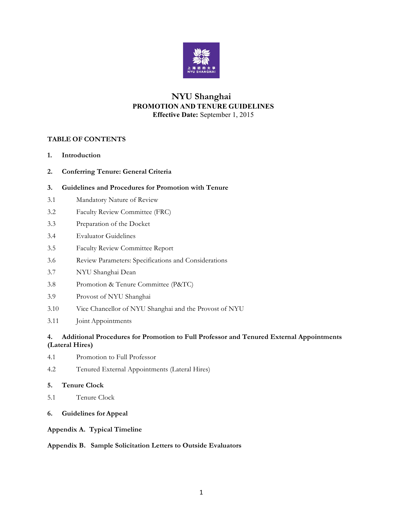

## **NYU Shanghai PROMOTION AND TENURE GUIDELINES Effective Date:** September 1, 2015

#### **TABLE OF CONTENTS**

- **1. Introduction**
- **2. Conferring Tenure: General Criteria**

#### **3. Guidelines and Procedures for Promotion with Tenure**

- 3.1 Mandatory Nature of Review
- 3.2 Faculty Review Committee (FRC)
- 3.3 Preparation of the Docket
- 3.4 Evaluator Guidelines
- 3.5 Faculty Review Committee Report
- 3.6 Review Parameters: Specifications and Considerations
- 3.7 NYU Shanghai Dean
- 3.8 Promotion & Tenure Committee (P&TC)
- 3.9 Provost of NYU Shanghai
- 3.10 Vice Chancellor of NYU Shanghai and the Provost of NYU
- 3.11 Joint Appointments

#### **4. Additional Procedures for Promotion to Full Professor and Tenured External Appointments (Lateral Hires)**

- 4.1 Promotion to Full Professor
- 4.2 Tenured External Appointments (Lateral Hires)

#### **5. Tenure Clock**

- 5.1 Tenure Clock
- **6. Guidelines for Appeal**

#### **Appendix A. Typical Timeline**

#### **Appendix B. Sample Solicitation Letters to Outside Evaluators**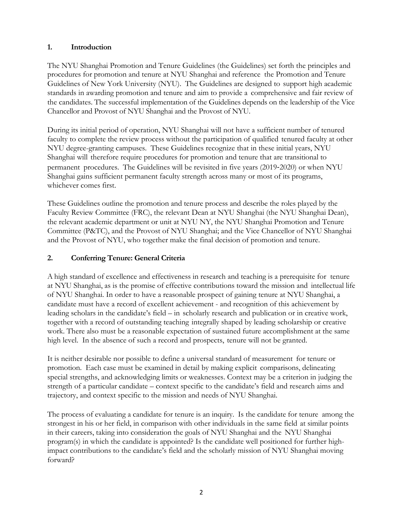## **1. Introduction**

The NYU Shanghai Promotion and Tenure Guidelines (the Guidelines) set forth the principles and procedures for promotion and tenure at NYU Shanghai and reference the Promotion and Tenure Guidelines of New York University (NYU). The Guidelines are designed to support high academic standards in awarding promotion and tenure and aim to provide a comprehensive and fair review of the candidates. The successful implementation of the Guidelines depends on the leadership of the Vice Chancellor and Provost of NYU Shanghai and the Provost of NYU.

During its initial period of operation, NYU Shanghai will not have a sufficient number of tenured faculty to complete the review process without the participation of qualified tenured faculty at other NYU degree-granting campuses. These Guidelines recognize that in these initial years, NYU Shanghai will therefore require procedures for promotion and tenure that are transitional to permanent procedures. The Guidelines will be revisited in five years (2019-2020) or when NYU Shanghai gains sufficient permanent faculty strength across many or most of its programs, whichever comes first.

These Guidelines outline the promotion and tenure process and describe the roles played by the Faculty Review Committee (FRC), the relevant Dean at NYU Shanghai (the NYU Shanghai Dean), the relevant academic department or unit at NYU NY, the NYU Shanghai Promotion and Tenure Committee (P&TC), and the Provost of NYU Shanghai; and the Vice Chancellor of NYU Shanghai and the Provost of NYU, who together make the final decision of promotion and tenure.

# **2. Conferring Tenure: General Criteria**

A high standard of excellence and effectiveness in research and teaching is a prerequisite for tenure at NYU Shanghai, as is the promise of effective contributions toward the mission and intellectual life of NYU Shanghai. In order to have a reasonable prospect of gaining tenure at NYU Shanghai, a candidate must have a record of excellent achievement - and recognition of this achievement by leading scholars in the candidate's field – in scholarly research and publication or in creative work, together with a record of outstanding teaching integrally shaped by leading scholarship or creative work. There also must be a reasonable expectation of sustained future accomplishment at the same high level. In the absence of such a record and prospects, tenure will not be granted.

It is neither desirable nor possible to define a universal standard of measurement for tenure or promotion. Each case must be examined in detail by making explicit comparisons, delineating special strengths, and acknowledging limits or weaknesses. Context may be a criterion in judging the strength of a particular candidate – context specific to the candidate's field and research aims and trajectory, and context specific to the mission and needs of NYU Shanghai.

The process of evaluating a candidate for tenure is an inquiry. Is the candidate for tenure among the strongest in his or her field, in comparison with other individuals in the same field at similar points in their careers, taking into consideration the goals of NYU Shanghai and the NYU Shanghai program(s) in which the candidate is appointed? Is the candidate well positioned for further highimpact contributions to the candidate's field and the scholarly mission of NYU Shanghai moving forward?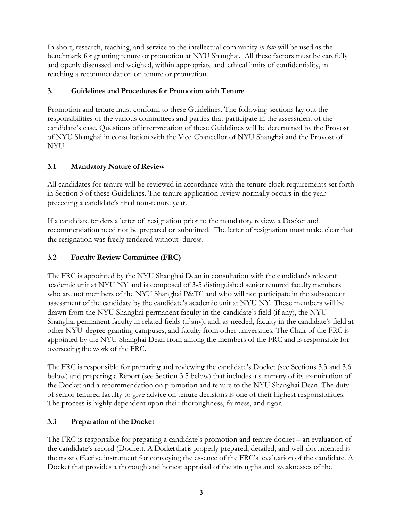In short, research, teaching, and service to the intellectual community *in toto* will be used as the benchmark for granting tenure or promotion at NYU Shanghai. All these factors must be carefully and openly discussed and weighed, within appropriate and ethical limits of confidentiality, in reaching a recommendation on tenure or promotion.

## **3. Guidelines and Procedures for Promotion with Tenure**

Promotion and tenure must conform to these Guidelines. The following sections lay out the responsibilities of the various committees and parties that participate in the assessment of the candidate's case. Questions of interpretation of these Guidelines will be determined by the Provost of NYU Shanghai in consultation with the Vice Chancellor of NYU Shanghai and the Provost of NYU.

## **3.1 Mandatory Nature of Review**

All candidates for tenure will be reviewed in accordance with the tenure clock requirements set forth in Section 5 of these Guidelines. The tenure application review normally occurs in the year preceding a candidate's final non-tenure year.

If a candidate tenders a letter of resignation prior to the mandatory review, a Docket and recommendation need not be prepared or submitted. The letter of resignation must make clear that the resignation was freely tendered without duress.

## **3.2 Faculty Review Committee (FRC)**

The FRC is appointed by the NYU Shanghai Dean in consultation with the candidate's relevant academic unit at NYU NY and is composed of 3-5 distinguished senior tenured faculty members who are not members of the NYU Shanghai P&TC and who will not participate in the subsequent assessment of the candidate by the candidate's academic unit at NYU NY. These members will be drawn from the NYU Shanghai permanent faculty in the candidate's field (if any), the NYU Shanghai permanent faculty in related fields (if any), and, as needed, faculty in the candidate's field at other NYU degree-granting campuses, and faculty from other universities. The Chair of the FRC is appointed by the NYU Shanghai Dean from among the members of the FRC and is responsible for overseeing the work of the FRC.

The FRC is responsible for preparing and reviewing the candidate's Docket (see Sections 3.3 and 3.6 below) and preparing a Report (see Section 3.5 below) that includes a summary of its examination of the Docket and a recommendation on promotion and tenure to the NYU Shanghai Dean. The duty of senior tenured faculty to give advice on tenure decisions is one of their highest responsibilities. The process is highly dependent upon their thoroughness, fairness, and rigor.

## **3.3 Preparation of the Docket**

The FRC is responsible for preparing a candidate's promotion and tenure docket – an evaluation of the candidate's record (Docket). A Docket that is properly prepared, detailed, and well-documented is the most effective instrument for conveying the essence of the FRC's evaluation of the candidate. A Docket that provides a thorough and honest appraisal of the strengths and weaknesses of the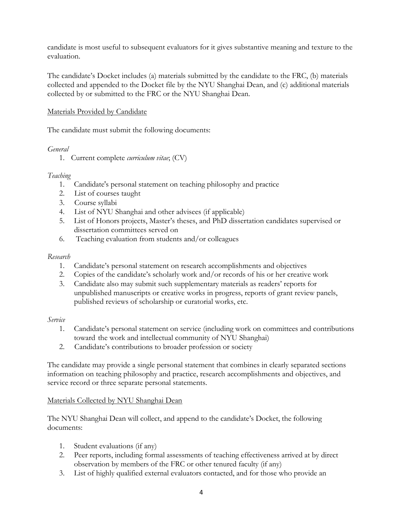candidate is most useful to subsequent evaluators for it gives substantive meaning and texture to the evaluation.

The candidate's Docket includes (a) materials submitted by the candidate to the FRC, (b) materials collected and appended to the Docket file by the NYU Shanghai Dean, and (c) additional materials collected by or submitted to the FRC or the NYU Shanghai Dean.

## Materials Provided by Candidate

The candidate must submit the following documents:

#### *General*

1. Current complete *curriculum vitae*; (CV)

## *Teaching*

- 1. Candidate's personal statement on teaching philosophy and practice
- 2. List of courses taught
- 3. Course syllabi
- 4. List of NYU Shanghai and other advisees (if applicable)
- 5. List of Honors projects, Master's theses, and PhD dissertation candidates supervised or dissertation committees served on
- 6. Teaching evaluation from students and/or colleagues

## *Research*

- 1. Candidate's personal statement on research accomplishments and objectives
- 2. Copies of the candidate's scholarly work and/or records of his or her creative work
- 3. Candidate also may submit such supplementary materials as readers' reports for unpublished manuscripts or creative works in progress, reports of grant review panels, published reviews of scholarship or curatorial works, etc.

#### *Service*

- 1. Candidate's personal statement on service (including work on committees and contributions toward the work and intellectual community of NYU Shanghai)
- 2. Candidate's contributions to broader profession or society

The candidate may provide a single personal statement that combines in clearly separated sections information on teaching philosophy and practice, research accomplishments and objectives, and service record or three separate personal statements.

## Materials Collected by NYU Shanghai Dean

The NYU Shanghai Dean will collect, and append to the candidate's Docket, the following documents:

- 1. Student evaluations (if any)
- 2. Peer reports, including formal assessments of teaching effectiveness arrived at by direct observation by members of the FRC or other tenured faculty (if any)
- 3. List of highly qualified external evaluators contacted, and for those who provide an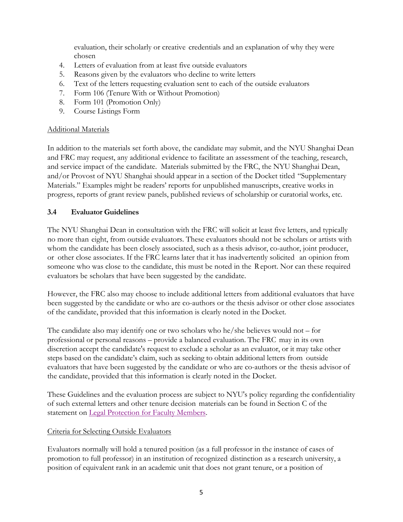evaluation, their scholarly or creative credentials and an explanation of why they were chosen

- 4. Letters of evaluation from at least five outside evaluators
- 5. Reasons given by the evaluators who decline to write letters
- 6. Text of the letters requesting evaluation sent to each of the outside evaluators
- 7. Form 106 (Tenure With or Without Promotion)
- 8. Form 101 (Promotion Only)
- 9. Course Listings Form

#### Additional Materials

In addition to the materials set forth above, the candidate may submit, and the NYU Shanghai Dean and FRC may request, any additional evidence to facilitate an assessment of the teaching, research, and service impact of the candidate. Materials submitted by the FRC, the NYU Shanghai Dean, and/or Provost of NYU Shanghai should appear in a section of the Docket titled "Supplementary Materials." Examples might be readers' reports for unpublished manuscripts, creative works in progress, reports of grant review panels, published reviews of scholarship or curatorial works, etc.

#### **3.4 Evaluator Guidelines**

The NYU Shanghai Dean in consultation with the FRC will solicit at least five letters, and typically no more than eight, from outside evaluators. These evaluators should not be scholars or artists with whom the candidate has been closely associated, such as a thesis advisor, co-author, joint producer, or other close associates. If the FRC learns later that it has inadvertently solicited an opinion from someone who was close to the candidate, this must be noted in the Report. Nor can these required evaluators be scholars that have been suggested by the candidate.

However, the FRC also may choose to include additional letters from additional evaluators that have been suggested by the candidate or who are co-authors or the thesis advisor or other close associates of the candidate, provided that this information is clearly noted in the Docket.

The candidate also may identify one or two scholars who he/she believes would not – for professional or personal reasons – provide a balanced evaluation. The FRC may in its own discretion accept the candidate's request to exclude a scholar as an evaluator, or it may take other steps based on the candidate's claim, such as seeking to obtain additional letters from outside evaluators that have been suggested by the candidate or who are co-authors or the thesis advisor of the candidate, provided that this information is clearly noted in the Docket.

These Guidelines and the evaluation process are subject to NYU's policy regarding the confidentiality of such external letters and other tenure decision materials can be found in Section C of the statement on Legal Protection for Faculty Members.

#### Criteria for Selecting Outside Evaluators

Evaluators normally will hold a tenured position (as a full professor in the instance of cases of promotion to full professor) in an institution of recognized distinction as a research university, a position of equivalent rank in an academic unit that does not grant tenure, or a position of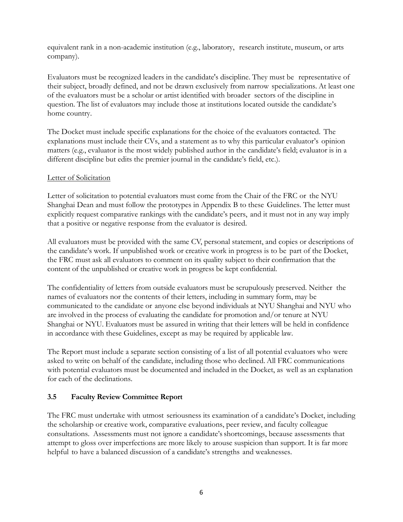equivalent rank in a non-academic institution (e.g., laboratory, research institute, museum, or arts company).

Evaluators must be recognized leaders in the candidate's discipline. They must be representative of their subject, broadly defined, and not be drawn exclusively from narrow specializations. At least one of the evaluators must be a scholar or artist identified with broader sectors of the discipline in question. The list of evaluators may include those at institutions located outside the candidate's home country.

The Docket must include specific explanations for the choice of the evaluators contacted. The explanations must include their CVs, and a statement as to why this particular evaluator's opinion matters (e.g., evaluator is the most widely published author in the candidate's field; evaluator is in a different discipline but edits the premier journal in the candidate's field, etc.).

## Letter of Solicitation

Letter of solicitation to potential evaluators must come from the Chair of the FRC or the NYU Shanghai Dean and must follow the prototypes in Appendix B to these Guidelines. The letter must explicitly request comparative rankings with the candidate's peers, and it must not in any way imply that a positive or negative response from the evaluator is desired.

All evaluators must be provided with the same CV, personal statement, and copies or descriptions of the candidate's work. If unpublished work or creative work in progress is to be part of the Docket, the FRC must ask all evaluators to comment on its quality subject to their confirmation that the content of the unpublished or creative work in progress be kept confidential.

The confidentiality of letters from outside evaluators must be scrupulously preserved. Neither the names of evaluators nor the contents of their letters, including in summary form, may be communicated to the candidate or anyone else beyond individuals at NYU Shanghai and NYU who are involved in the process of evaluating the candidate for promotion and/or tenure at NYU Shanghai or NYU. Evaluators must be assured in writing that their letters will be held in confidence in accordance with these Guidelines, except as may be required by applicable law.

The Report must include a separate section consisting of a list of all potential evaluators who were asked to write on behalf of the candidate, including those who declined. All FRC communications with potential evaluators must be documented and included in the Docket, as well as an explanation for each of the declinations.

## **3.5 Faculty Review Committee Report**

The FRC must undertake with utmost seriousness its examination of a candidate's Docket, including the scholarship or creative work, comparative evaluations, peer review, and faculty colleague consultations. Assessments must not ignore a candidate's shortcomings, because assessments that attempt to gloss over imperfections are more likely to arouse suspicion than support. It is far more helpful to have a balanced discussion of a candidate's strengths and weaknesses.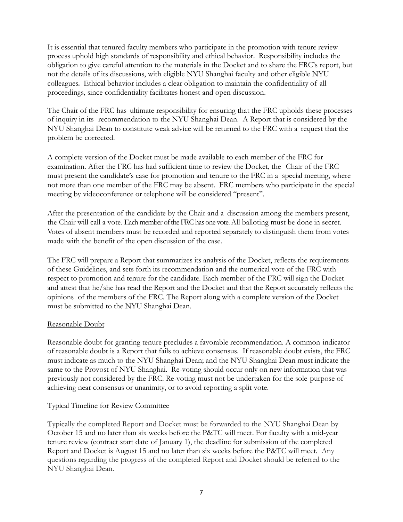It is essential that tenured faculty members who participate in the promotion with tenure review process uphold high standards of responsibility and ethical behavior. Responsibility includes the obligation to give careful attention to the materials in the Docket and to share the FRC's report, but not the details of its discussions, with eligible NYU Shanghai faculty and other eligible NYU colleagues. Ethical behavior includes a clear obligation to maintain the confidentiality of all proceedings, since confidentiality facilitates honest and open discussion.

The Chair of the FRC has ultimate responsibility for ensuring that the FRC upholds these processes of inquiry in its recommendation to the NYU Shanghai Dean. A Report that is considered by the NYU Shanghai Dean to constitute weak advice will be returned to the FRC with a request that the problem be corrected.

A complete version of the Docket must be made available to each member of the FRC for examination. After the FRC has had sufficient time to review the Docket, the Chair of the FRC must present the candidate's case for promotion and tenure to the FRC in a special meeting, where not more than one member of the FRC may be absent. FRC members who participate in the special meeting by videoconference or telephone will be considered "present".

After the presentation of the candidate by the Chair and a discussion among the members present, the Chair will call a vote. Each member of the FRC has one vote. All balloting must be done in secret. Votes of absent members must be recorded and reported separately to distinguish them from votes made with the benefit of the open discussion of the case.

The FRC will prepare a Report that summarizes its analysis of the Docket, reflects the requirements of these Guidelines, and sets forth its recommendation and the numerical vote of the FRC with respect to promotion and tenure for the candidate. Each member of the FRC will sign the Docket and attest that he/she has read the Report and the Docket and that the Report accurately reflects the opinions of the members of the FRC. The Report along with a complete version of the Docket must be submitted to the NYU Shanghai Dean.

#### Reasonable Doubt

Reasonable doubt for granting tenure precludes a favorable recommendation. A common indicator of reasonable doubt is a Report that fails to achieve consensus. If reasonable doubt exists, the FRC must indicate as much to the NYU Shanghai Dean; and the NYU Shanghai Dean must indicate the same to the Provost of NYU Shanghai. Re-voting should occur only on new information that was previously not considered by the FRC. Re-voting must not be undertaken for the sole purpose of achieving near consensus or unanimity, or to avoid reporting a split vote.

#### Typical Timeline for Review Committee

Typically the completed Report and Docket must be forwarded to the NYU Shanghai Dean by October 15 and no later than six weeks before the P&TC will meet. For faculty with a mid-year tenure review (contract start date of January 1), the deadline for submission of the completed Report and Docket is August 15 and no later than six weeks before the P&TC will meet. Any questions regarding the progress of the completed Report and Docket should be referred to the NYU Shanghai Dean.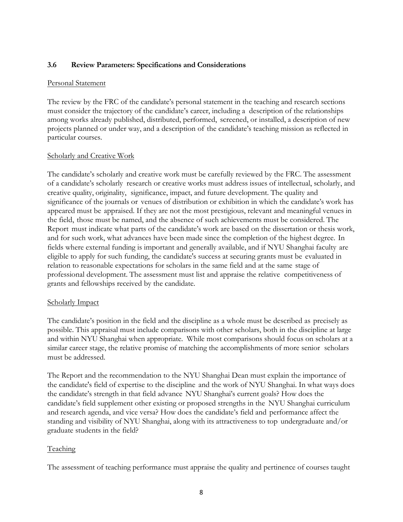#### **3.6 Review Parameters: Specifications and Considerations**

#### Personal Statement

The review by the FRC of the candidate's personal statement in the teaching and research sections must consider the trajectory of the candidate's career, including a description of the relationships among works already published, distributed, performed, screened, or installed, a description of new projects planned or under way, and a description of the candidate's teaching mission as reflected in particular courses.

#### Scholarly and Creative Work

The candidate's scholarly and creative work must be carefully reviewed by the FRC. The assessment of a candidate's scholarly research or creative works must address issues of intellectual, scholarly, and creative quality, originality, significance, impact, and future development. The quality and significance of the journals or venues of distribution or exhibition in which the candidate's work has appeared must be appraised. If they are not the most prestigious, relevant and meaningful venues in the field, those must be named, and the absence of such achievements must be considered. The Report must indicate what parts of the candidate's work are based on the dissertation or thesis work, and for such work, what advances have been made since the completion of the highest degree. In fields where external funding is important and generally available, and if NYU Shanghai faculty are eligible to apply for such funding, the candidate's success at securing grants must be evaluated in relation to reasonable expectations for scholars in the same field and at the same stage of professional development. The assessment must list and appraise the relative competitiveness of grants and fellowships received by the candidate.

#### Scholarly Impact

The candidate's position in the field and the discipline as a whole must be described as precisely as possible. This appraisal must include comparisons with other scholars, both in the discipline at large and within NYU Shanghai when appropriate. While most comparisons should focus on scholars at a similar career stage, the relative promise of matching the accomplishments of more senior scholars must be addressed.

The Report and the recommendation to the NYU Shanghai Dean must explain the importance of the candidate's field of expertise to the discipline and the work of NYU Shanghai. In what ways does the candidate's strength in that field advance NYU Shanghai's current goals? How does the candidate's field supplement other existing or proposed strengths in the NYU Shanghai curriculum and research agenda, and vice versa? How does the candidate's field and performance affect the standing and visibility of NYU Shanghai, along with its attractiveness to top undergraduate and/or graduate students in the field?

#### Teaching

The assessment of teaching performance must appraise the quality and pertinence of courses taught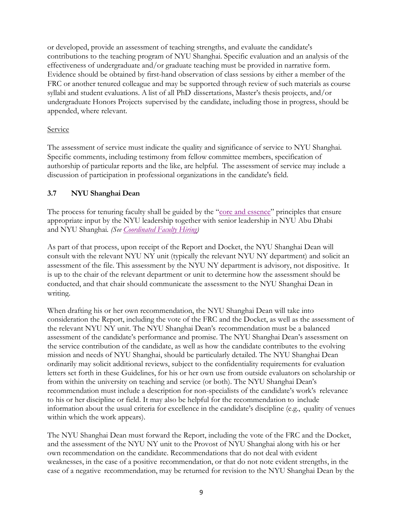or developed, provide an assessment of teaching strengths, and evaluate the candidate's contributions to the teaching program of NYU Shanghai. Specific evaluation and an analysis of the effectiveness of undergraduate and/or graduate teaching must be provided in narrative form. Evidence should be obtained by first-hand observation of class sessions by either a member of the FRC or another tenured colleague and may be supported through review of such materials as course syllabi and student evaluations. A list of all PhD dissertations, Master's thesis projects, and/or undergraduate Honors Projects supervised by the candidate, including those in progress, should be appended, where relevant.

## Service

The assessment of service must indicate the quality and significance of service to NYU Shanghai. Specific comments, including testimony from fellow committee members, specification of authorship of particular reports and the like, are helpful. The assessment of service may include a discussion of participation in professional organizations in the candidate's field.

## **3.7 NYU Shanghai Dean**

The process for tenuring faculty shall be guided by the "core and essence" principles that ensure appropriate input by the NYU leadership together with senior leadership in NYU Abu Dhabi and NYU Shanghai*. (See Coordinated Faculty Hiring)* 

As part of that process, upon receipt of the Report and Docket, the NYU Shanghai Dean will consult with the relevant NYU NY unit (typically the relevant NYU NY department) and solicit an assessment of the file. This assessment by the NYU NY department is advisory, not dispositive. It is up to the chair of the relevant department or unit to determine how the assessment should be conducted, and that chair should communicate the assessment to the NYU Shanghai Dean in writing.

When drafting his or her own recommendation, the NYU Shanghai Dean will take into consideration the Report, including the vote of the FRC and the Docket, as well as the assessment of the relevant NYU NY unit. The NYU Shanghai Dean's recommendation must be a balanced assessment of the candidate's performance and promise. The NYU Shanghai Dean's assessment on the service contribution of the candidate, as well as how the candidate contributes to the evolving mission and needs of NYU Shanghai, should be particularly detailed. The NYU Shanghai Dean ordinarily may solicit additional reviews, subject to the confidentiality requirements for evaluation letters set forth in these Guidelines, for his or her own use from outside evaluators on scholarship or from within the university on teaching and service (or both). The NYU Shanghai Dean's recommendation must include a description for non-specialists of the candidate's work's relevance to his or her discipline or field. It may also be helpful for the recommendation to include information about the usual criteria for excellence in the candidate's discipline (e.g., quality of venues within which the work appears).

The NYU Shanghai Dean must forward the Report, including the vote of the FRC and the Docket, and the assessment of the NYU NY unit to the Provost of NYU Shanghai along with his or her own recommendation on the candidate. Recommendations that do not deal with evident weaknesses, in the case of a positive recommendation, or that do not note evident strengths, in the case of a negative recommendation, may be returned for revision to the NYU Shanghai Dean by the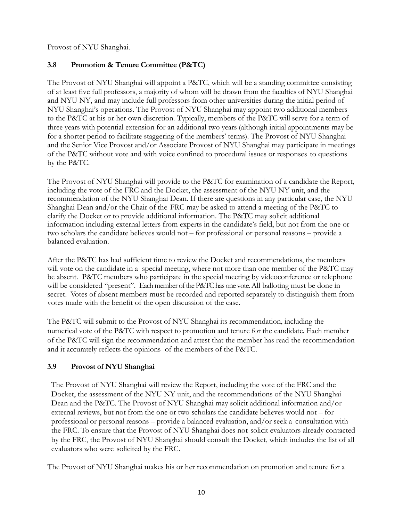Provost of NYU Shanghai.

## **3.8 Promotion & Tenure Committee (P&TC)**

The Provost of NYU Shanghai will appoint a P&TC, which will be a standing committee consisting of at least five full professors, a majority of whom will be drawn from the faculties of NYU Shanghai and NYU NY, and may include full professors from other universities during the initial period of NYU Shanghai's operations. The Provost of NYU Shanghai may appoint two additional members to the P&TC at his or her own discretion. Typically, members of the P&TC will serve for a term of three years with potential extension for an additional two years (although initial appointments may be for a shorter period to facilitate staggering of the members' terms). The Provost of NYU Shanghai and the Senior Vice Provost and/or Associate Provost of NYU Shanghai may participate in meetings of the P&TC without vote and with voice confined to procedural issues or responses to questions by the P&TC.

The Provost of NYU Shanghai will provide to the P&TC for examination of a candidate the Report, including the vote of the FRC and the Docket, the assessment of the NYU NY unit, and the recommendation of the NYU Shanghai Dean. If there are questions in any particular case, the NYU Shanghai Dean and/or the Chair of the FRC may be asked to attend a meeting of the P&TC to clarify the Docket or to provide additional information. The P&TC may solicit additional information including external letters from experts in the candidate's field, but not from the one or two scholars the candidate believes would not – for professional or personal reasons – provide a balanced evaluation.

After the P&TC has had sufficient time to review the Docket and recommendations, the members will vote on the candidate in a special meeting, where not more than one member of the P&TC may be absent. P&TC members who participate in the special meeting by videoconference or telephone will be considered "present". Each member of the P&TC has one vote. All balloting must be done in secret. Votes of absent members must be recorded and reported separately to distinguish them from votes made with the benefit of the open discussion of the case.

The P&TC will submit to the Provost of NYU Shanghai its recommendation, including the numerical vote of the P&TC with respect to promotion and tenure for the candidate. Each member of the P&TC will sign the recommendation and attest that the member has read the recommendation and it accurately reflects the opinions of the members of the P&TC.

## **3.9 Provost of NYU Shanghai**

The Provost of NYU Shanghai will review the Report, including the vote of the FRC and the Docket, the assessment of the NYU NY unit, and the recommendations of the NYU Shanghai Dean and the P&TC. The Provost of NYU Shanghai may solicit additional information and/or external reviews, but not from the one or two scholars the candidate believes would not – for professional or personal reasons – provide a balanced evaluation, and/or seek a consultation with the FRC. To ensure that the Provost of NYU Shanghai does not solicit evaluators already contacted by the FRC, the Provost of NYU Shanghai should consult the Docket, which includes the list of all evaluators who were solicited by the FRC.

The Provost of NYU Shanghai makes his or her recommendation on promotion and tenure for a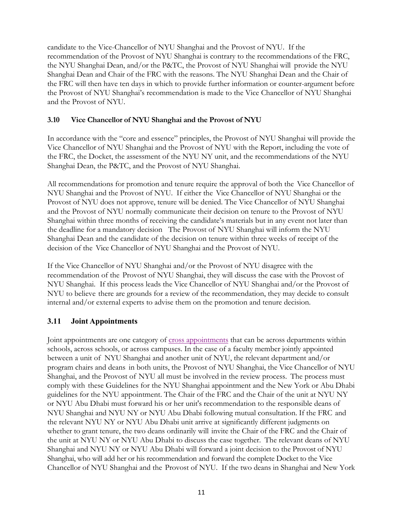candidate to the Vice-Chancellor of NYU Shanghai and the Provost of NYU. If the recommendation of the Provost of NYU Shanghai is contrary to the recommendations of the FRC, the NYU Shanghai Dean, and/or the P&TC, the Provost of NYU Shanghai will provide the NYU Shanghai Dean and Chair of the FRC with the reasons. The NYU Shanghai Dean and the Chair of the FRC will then have ten days in which to provide further information or counter-argument before the Provost of NYU Shanghai's recommendation is made to the Vice Chancellor of NYU Shanghai and the Provost of NYU.

## **3.10 Vice Chancellor of NYU Shanghai and the Provost of NYU**

In accordance with the "core and essence" principles, the Provost of NYU Shanghai will provide the Vice Chancellor of NYU Shanghai and the Provost of NYU with the Report, including the vote of the FRC, the Docket, the assessment of the NYU NY unit, and the recommendations of the NYU Shanghai Dean, the P&TC, and the Provost of NYU Shanghai.

All recommendations for promotion and tenure require the approval of both the Vice Chancellor of NYU Shanghai and the Provost of NYU. If either the Vice Chancellor of NYU Shanghai or the Provost of NYU does not approve, tenure will be denied. The Vice Chancellor of NYU Shanghai and the Provost of NYU normally communicate their decision on tenure to the Provost of NYU Shanghai within three months of receiving the candidate's materials but in any event not later than the deadline for a mandatory decision The Provost of NYU Shanghai will inform the NYU Shanghai Dean and the candidate of the decision on tenure within three weeks of receipt of the decision of the Vice Chancellor of NYU Shanghai and the Provost of NYU.

If the Vice Chancellor of NYU Shanghai and/or the Provost of NYU disagree with the recommendation of the Provost of NYU Shanghai, they will discuss the case with the Provost of NYU Shanghai. If this process leads the Vice Chancellor of NYU Shanghai and/or the Provost of NYU to believe there are grounds for a review of the recommendation, they may decide to consult internal and/or external experts to advise them on the promotion and tenure decision.

# **3.11 Joint Appointments**

Joint appointments are one category of cross appointments that can be across departments within schools, across schools, or across campuses. In the case of a faculty member jointly appointed between a unit of NYU Shanghai and another unit of NYU, the relevant department and/or program chairs and deans in both units, the Provost of NYU Shanghai, the Vice Chancellor of NYU Shanghai, and the Provost of NYU all must be involved in the review process. The process must comply with these Guidelines for the NYU Shanghai appointment and the New York or Abu Dhabi guidelines for the NYU appointment. The Chair of the FRC and the Chair of the unit at NYU NY or NYU Abu Dhabi must forward his or her unit's recommendation to the responsible deans of NYU Shanghai and NYU NY or NYU Abu Dhabi following mutual consultation. If the FRC and the relevant NYU NY or NYU Abu Dhabi unit arrive at significantly different judgments on whether to grant tenure, the two deans ordinarily will invite the Chair of the FRC and the Chair of the unit at NYU NY or NYU Abu Dhabi to discuss the case together. The relevant deans of NYU Shanghai and NYU NY or NYU Abu Dhabi will forward a joint decision to the Provost of NYU Shanghai, who will add her or his recommendation and forward the complete Docket to the Vice Chancellor of NYU Shanghai and the Provost of NYU. If the two deans in Shanghai and New York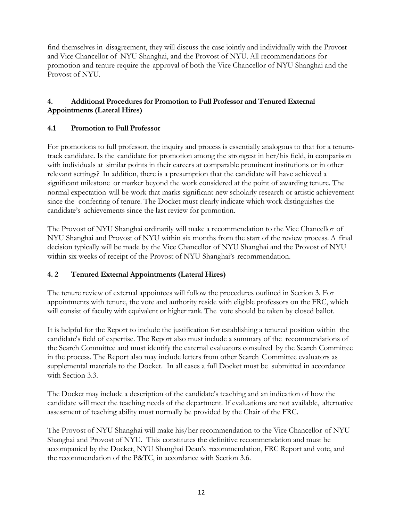find themselves in disagreement, they will discuss the case jointly and individually with the Provost and Vice Chancellor of NYU Shanghai, and the Provost of NYU. All recommendations for promotion and tenure require the approval of both the Vice Chancellor of NYU Shanghai and the Provost of NYU.

## **4. Additional Procedures for Promotion to Full Professor and Tenured External Appointments (Lateral Hires)**

## **4.1 Promotion to Full Professor**

For promotions to full professor, the inquiry and process is essentially analogous to that for a tenuretrack candidate. Is the candidate for promotion among the strongest in her/his field, in comparison with individuals at similar points in their careers at comparable prominent institutions or in other relevant settings? In addition, there is a presumption that the candidate will have achieved a significant milestone or marker beyond the work considered at the point of awarding tenure. The normal expectation will be work that marks significant new scholarly research or artistic achievement since the conferring of tenure. The Docket must clearly indicate which work distinguishes the candidate's achievements since the last review for promotion.

The Provost of NYU Shanghai ordinarily will make a recommendation to the Vice Chancellor of NYU Shanghai and Provost of NYU within six months from the start of the review process. A final decision typically will be made by the Vice Chancellor of NYU Shanghai and the Provost of NYU within six weeks of receipt of the Provost of NYU Shanghai's recommendation.

# **4. 2 Tenured External Appointments (Lateral Hires)**

The tenure review of external appointees will follow the procedures outlined in Section 3. For appointments with tenure, the vote and authority reside with eligible professors on the FRC, which will consist of faculty with equivalent or higher rank. The vote should be taken by closed ballot.

It is helpful for the Report to include the justification for establishing a tenured position within the candidate's field of expertise. The Report also must include a summary of the recommendations of the Search Committee and must identify the external evaluators consulted by the Search Committee in the process. The Report also may include letters from other Search Committee evaluators as supplemental materials to the Docket. In all cases a full Docket must be submitted in accordance with Section 3.3.

The Docket may include a description of the candidate's teaching and an indication of how the candidate will meet the teaching needs of the department. If evaluations are not available, alternative assessment of teaching ability must normally be provided by the Chair of the FRC.

The Provost of NYU Shanghai will make his/her recommendation to the Vice Chancellor of NYU Shanghai and Provost of NYU. This constitutes the definitive recommendation and must be accompanied by the Docket, NYU Shanghai Dean's recommendation, FRC Report and vote, and the recommendation of the P&TC, in accordance with Section 3.6.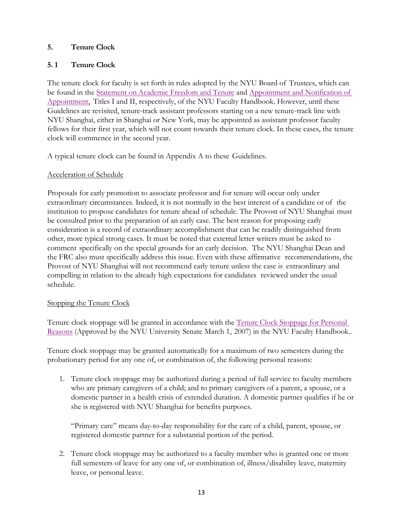## **5. Tenure Clock**

## **5. 1 Tenure Clock**

The tenure clock for faculty is set forth in rules adopted by the NYU Board of Trustees, which can be found in the Statement on Academic Freedom and Tenure and Appointment and Notification of Appointment, Titles I and II, respectively, of the NYU Faculty Handbook. However, until these Guidelines are revisited, tenure-track assistant professors starting on a new tenure-track line with NYU Shanghai, either in Shanghai or New York, may be appointed as assistant professor faculty fellows for their first year, which will not count towards their tenure clock. In these cases, the tenure clock will commence in the second year.

A typical tenure clock can be found in Appendix A to these Guidelines.

#### Acceleration of Schedule

Proposals for early promotion to associate professor and for tenure will occur only under extraordinary circumstances. Indeed, it is not normally in the best interest of a candidate or of the institution to propose candidates for tenure ahead of schedule. The Provost of NYU Shanghai must be consulted prior to the preparation of an early case. The best reason for proposing early consideration is a record of extraordinary accomplishment that can be readily distinguished from other, more typical strong cases. It must be noted that external letter writers must be asked to comment specifically on the special grounds for an early decision. The NYU Shanghai Dean and the FRC also must specifically address this issue. Even with these affirmative recommendations, the Provost of NYU Shanghai will not recommend early tenure unless the case is extraordinary and compelling in relation to the already high expectations for candidates reviewed under the usual schedule.

#### Stopping the Tenure Clock

Tenure clock stoppage will be granted in accordance with the Tenure Clock Stoppage for Personal Reasons (Approved by the NYU University Senate March 1, 2007) in the NYU Faculty Handbook..

Tenure clock stoppage may be granted automatically for a maximum of two semesters during the probationary period for any one of, or combination of, the following personal reasons:

1. Tenure clock stoppage may be authorized during a period of full service to faculty members who are primary caregivers of a child; and to primary caregivers of a parent, a spouse, or a domestic partner in a health crisis of extended duration. A domestic partner qualifies if he or she is registered with NYU Shanghai for benefits purposes.

"Primary care" means day-to-day responsibility for the care of a child, parent, spouse, or registered domestic partner for a substantial portion of the period.

2. Tenure clock stoppage may be authorized to a faculty member who is granted one or more full semesters of leave for any one of, or combination of, illness/disability leave, maternity leave, or personal leave.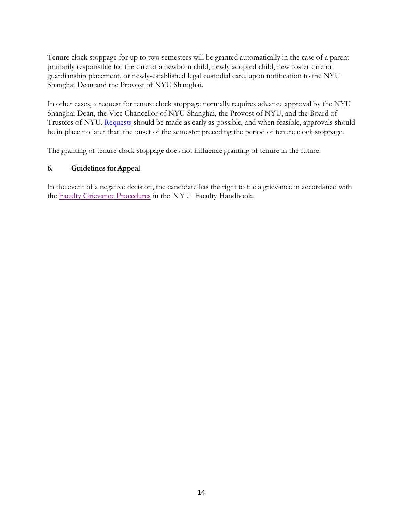Tenure clock stoppage for up to two semesters will be granted automatically in the case of a parent primarily responsible for the care of a newborn child, newly adopted child, new foster care or guardianship placement, or newly-established legal custodial care, upon notification to the NYU Shanghai Dean and the Provost of NYU Shanghai.

In other cases, a request for tenure clock stoppage normally requires advance approval by the NYU Shanghai Dean, the Vice Chancellor of NYU Shanghai, the Provost of NYU, and the Board of Trustees of NYU. Requests should be made as early as possible, and when feasible, approvals should be in place no later than the onset of the semester preceding the period of tenure clock stoppage.

The granting of tenure clock stoppage does not influence granting of tenure in the future.

## **6. Guidelines forAppeal**

In the event of a negative decision, the candidate has the right to file a grievance in accordance with the Faculty Grievance Procedures in the NYU Faculty Handbook.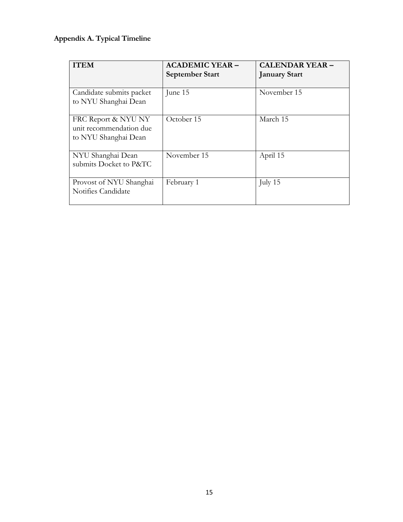# **Appendix A. Typical Timeline**

| <b>ITEM</b>                                                            | <b>ACADEMIC YEAR -</b><br><b>September Start</b> | <b>CALENDAR YEAR -</b><br><b>January Start</b> |
|------------------------------------------------------------------------|--------------------------------------------------|------------------------------------------------|
| Candidate submits packet<br>to NYU Shanghai Dean                       | June 15                                          | November 15                                    |
| FRC Report & NYU NY<br>unit recommendation due<br>to NYU Shanghai Dean | October 15                                       | March 15                                       |
| NYU Shanghai Dean<br>submits Docket to P&TC                            | November 15                                      | April 15                                       |
| Provost of NYU Shanghai<br>Notifies Candidate                          | February 1                                       | July 15                                        |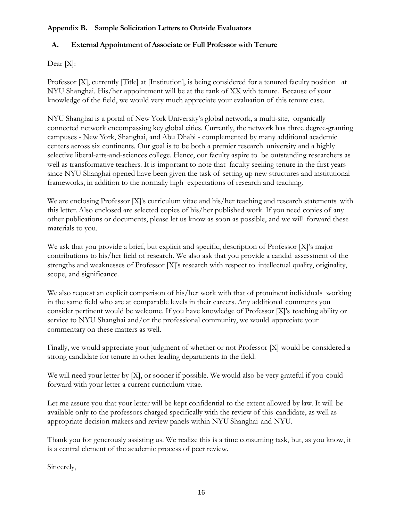## **Appendix B. Sample Solicitation Letters to Outside Evaluators**

## **A. External Appointment of Associate or Full Professor with Tenure**

Dear [X]:

Professor [X], currently [Title] at [Institution], is being considered for a tenured faculty position at NYU Shanghai. His/her appointment will be at the rank of XX with tenure. Because of your knowledge of the field, we would very much appreciate your evaluation of this tenure case.

NYU Shanghai is a portal of New York University's global network, a multi-site, organically connected network encompassing key global cities. Currently, the network has three degree-granting campuses - New York, Shanghai, and Abu Dhabi - complemented by many additional academic centers across six continents. Our goal is to be both a premier research university and a highly selective liberal-arts-and-sciences college. Hence, our faculty aspire to be outstanding researchers as well as transformative teachers. It is important to note that faculty seeking tenure in the first years since NYU Shanghai opened have been given the task of setting up new structures and institutional frameworks, in addition to the normally high expectations of research and teaching.

We are enclosing Professor [X]'s curriculum vitae and his/her teaching and research statements with this letter. Also enclosed are selected copies of his/her published work. If you need copies of any other publications or documents, please let us know as soon as possible, and we will forward these materials to you.

We ask that you provide a brief, but explicit and specific, description of Professor [X]'s major contributions to his/her field of research. We also ask that you provide a candid assessment of the strengths and weaknesses of Professor [X]'s research with respect to intellectual quality, originality, scope, and significance.

We also request an explicit comparison of his/her work with that of prominent individuals working in the same field who are at comparable levels in their careers. Any additional comments you consider pertinent would be welcome. If you have knowledge of Professor [X]'s teaching ability or service to NYU Shanghai and/or the professional community, we would appreciate your commentary on these matters as well.

Finally, we would appreciate your judgment of whether or not Professor [X] would be considered a strong candidate for tenure in other leading departments in the field.

We will need your letter by [X], or sooner if possible. We would also be very grateful if you could forward with your letter a current curriculum vitae.

Let me assure you that your letter will be kept confidential to the extent allowed by law. It will be available only to the professors charged specifically with the review of this candidate, as well as appropriate decision makers and review panels within NYU Shanghai and NYU.

Thank you for generously assisting us. We realize this is a time consuming task, but, as you know, it is a central element of the academic process of peer review.

Sincerely,